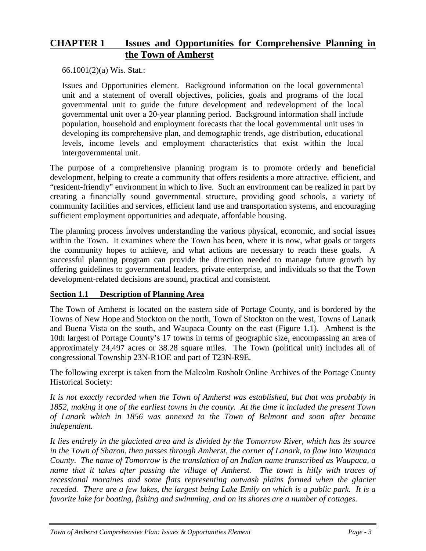# **CHAPTER 1 Issues and Opportunities for Comprehensive Planning in the Town of Amherst**

66.1001(2)(a) Wis. Stat.:

Issues and Opportunities element*.* Background information on the local governmental unit and a statement of overall objectives, policies, goals and programs of the local governmental unit to guide the future development and redevelopment of the local governmental unit over a 20-year planning period. Background information shall include population, household and employment forecasts that the local governmental unit uses in developing its comprehensive plan, and demographic trends, age distribution, educational levels, income levels and employment characteristics that exist within the local intergovernmental unit.

The purpose of a comprehensive planning program is to promote orderly and beneficial development, helping to create a community that offers residents a more attractive, efficient, and "resident-friendly" environment in which to live. Such an environment can be realized in part by creating a financially sound governmental structure, providing good schools, a variety of community facilities and services, efficient land use and transportation systems, and encouraging sufficient employment opportunities and adequate, affordable housing.

The planning process involves understanding the various physical, economic, and social issues within the Town. It examines where the Town has been, where it is now, what goals or targets the community hopes to achieve, and what actions are necessary to reach these goals. A successful planning program can provide the direction needed to manage future growth by offering guidelines to governmental leaders, private enterprise, and individuals so that the Town development-related decisions are sound, practical and consistent.

## **Section 1.1 Description of Planning Area**

The Town of Amherst is located on the eastern side of Portage County, and is bordered by the Towns of New Hope and Stockton on the north, Town of Stockton on the west, Towns of Lanark and Buena Vista on the south, and Waupaca County on the east (Figure 1.1). Amherst is the 10th largest of Portage County's 17 towns in terms of geographic size, encompassing an area of approximately 24,497 acres or 38.28 square miles. The Town (political unit) includes all of congressional Township 23N-R1OE and part of T23N-R9E.

The following excerpt is taken from the Malcolm Rosholt Online Archives of the Portage County Historical Society:

*It is not exactly recorded when the Town of Amherst was established, but that was probably in 1852, making it one of the earliest towns in the county. At the time it included the present [Town](http://www.pchswi.org/archives/townships/lanark.html)  of [Lanark](http://www.pchswi.org/archives/townships/lanark.html) which in 1856 was annexed to the [Town of Belmont a](http://www.pchswi.org/archives/townships/belmont.html)nd soon after became independent.* 

*It lies entirely in the glaciated area and is divided by the Tomorrow River, which has its source in the [Town of Sharon,](http://www.pchswi.org/archives/townships/sharon.html) then passes through [Amherst,](http://www.pchswi.org/archives/amherst/Amhersthist1.html) the corner of [Lanark,](http://www.pchswi.org/archives/townships/lanark.html) to flow into Waupaca County. The name of Tomorrow is the translation of an Indian name transcribed as Waupaca, a name that it takes after passing the village of Amherst. The town is hilly with traces of recessional moraines and some flats representing outwash plains formed when the glacier receded. There are a few lakes, the largest being Lake Emily on which is a public park. It is a favorite lake for boating, fishing and swimming, and on its shores are a number of cottages.*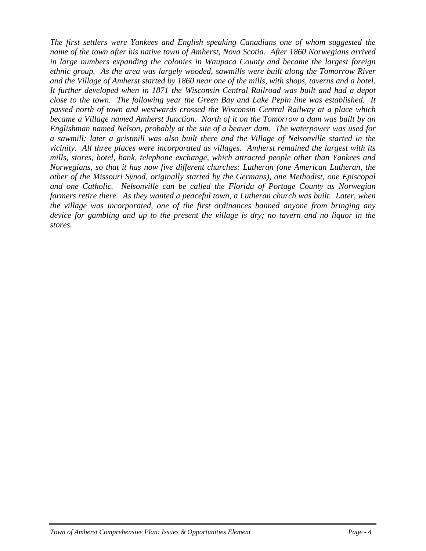*The first settlers were Yankees and English speaking Canadians one of whom suggested the name of the town after his native town of Amherst, Nova Scotia. After 1860 Norwegians arrived in large numbers expanding the colonies in Waupaca County and became the largest foreign ethnic group. As the area was largely wooded, sawmills were built along the Tomorrow River and the Village of Amherst started by 1860 near one of the mills, with shops, taverns and a hotel. It further developed when in 1871 the Wisconsin Central Railroad was built and had a depot close to the town. The following year the Green Bay and Lake Pepin line was established. It passed north of town and westwards crossed the Wisconsin Central Railway at a place which became a Village named [Amherst Junction.](http://www.pchswi.org/archives/communities/amhjunction.html) North of it on the Tomorrow a dam was built by an Englishman named [Nelson,](http://www.pchswi.org/archives/bios/jeromenelson.html) probably at the site of a beaver dam. The waterpower was used for a sawmill; later a gristmill was also built there and the [Village of Nelsonville](http://www.pchswi.org/archives/communities/nelsonville.html) started in the vicinity. All three places were incorporated as villages. [Amherst](http://www.pchswi.org/archives/amherst/Amhersthist1.html) remained the largest with its mills, stores, hotel, bank, telephone exchange, which attracted people other than Yankees and Norwegians, so that it has now five different churches: Lutheran (one American Lutheran, the other of the Missouri Synod, originally started by the Germans), one Methodist, one Episcopal and one Catholic. Nelsonville can be called the Florida of Portage County as Norwegian farmers retire there. As they wanted a peaceful town, a Lutheran church was built. Later, when the village was incorporated, one of the first ordinances banned anyone from bringing any device for gambling and up to the present the village is dry; no tavern and no liquor in the stores.*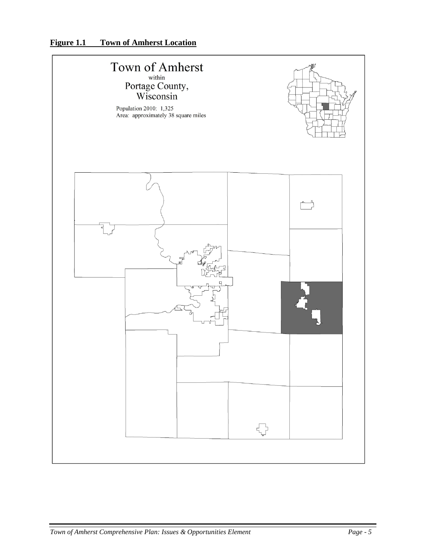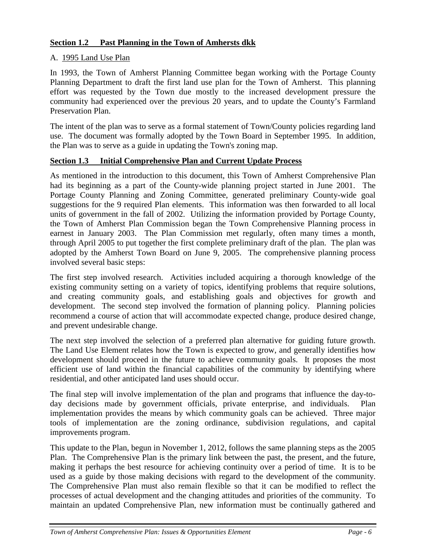## **Section 1.2 Past Planning in the Town of Amhersts dkk**

## A. 1995 Land Use Plan

In 1993, the Town of Amherst Planning Committee began working with the Portage County Planning Department to draft the first land use plan for the Town of Amherst. This planning effort was requested by the Town due mostly to the increased development pressure the community had experienced over the previous 20 years, and to update the County's Farmland Preservation Plan.

The intent of the plan was to serve as a formal statement of Town/County policies regarding land use. The document was formally adopted by the Town Board in September 1995. In addition, the Plan was to serve as a guide in updating the Town's zoning map.

## **Section 1.3 Initial Comprehensive Plan and Current Update Process**

As mentioned in the introduction to this document, this Town of Amherst Comprehensive Plan had its beginning as a part of the County-wide planning project started in June 2001. The Portage County Planning and Zoning Committee, generated preliminary County-wide goal suggestions for the 9 required Plan elements. This information was then forwarded to all local units of government in the fall of 2002. Utilizing the information provided by Portage County, the Town of Amherst Plan Commission began the Town Comprehensive Planning process in earnest in January 2003. The Plan Commission met regularly, often many times a month, through April 2005 to put together the first complete preliminary draft of the plan. The plan was adopted by the Amherst Town Board on June 9, 2005. The comprehensive planning process involved several basic steps:

The first step involved research. Activities included acquiring a thorough knowledge of the existing community setting on a variety of topics, identifying problems that require solutions, and creating community goals, and establishing goals and objectives for growth and development. The second step involved the formation of planning policy. Planning policies recommend a course of action that will accommodate expected change, produce desired change, and prevent undesirable change.

The next step involved the selection of a preferred plan alternative for guiding future growth. The Land Use Element relates how the Town is expected to grow, and generally identifies how development should proceed in the future to achieve community goals. It proposes the most efficient use of land within the financial capabilities of the community by identifying where residential, and other anticipated land uses should occur.

The final step will involve implementation of the plan and programs that influence the day-today decisions made by government officials, private enterprise, and individuals. Plan implementation provides the means by which community goals can be achieved. Three major tools of implementation are the zoning ordinance, subdivision regulations, and capital improvements program.

This update to the Plan, begun in November 1, 2012, follows the same planning steps as the 2005 Plan. The Comprehensive Plan is the primary link between the past, the present, and the future, making it perhaps the best resource for achieving continuity over a period of time. It is to be used as a guide by those making decisions with regard to the development of the community. The Comprehensive Plan must also remain flexible so that it can be modified to reflect the processes of actual development and the changing attitudes and priorities of the community. To maintain an updated Comprehensive Plan, new information must be continually gathered and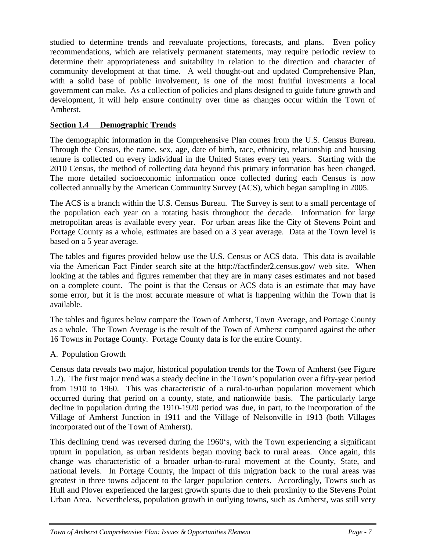studied to determine trends and reevaluate projections, forecasts, and plans. Even policy recommendations, which are relatively permanent statements, may require periodic review to determine their appropriateness and suitability in relation to the direction and character of community development at that time. A well thought-out and updated Comprehensive Plan, with a solid base of public involvement, is one of the most fruitful investments a local government can make. As a collection of policies and plans designed to guide future growth and development, it will help ensure continuity over time as changes occur within the Town of Amherst.

## **Section 1.4 Demographic Trends**

The demographic information in the Comprehensive Plan comes from the U.S. Census Bureau. Through the Census, the name, sex, age, date of birth, race, ethnicity, relationship and housing tenure is collected on every individual in the United States every ten years. Starting with the 2010 Census, the method of collecting data beyond this primary information has been changed. The more detailed socioeconomic information once collected during each Census is now collected annually by the American Community Survey (ACS), which began sampling in 2005.

The ACS is a branch within the U.S. Census Bureau. The Survey is sent to a small percentage of the population each year on a rotating basis throughout the decade. Information for large metropolitan areas is available every year. For urban areas like the City of Stevens Point and Portage County as a whole, estimates are based on a 3 year average. Data at the Town level is based on a 5 year average.

The tables and figures provided below use the U.S. Census or ACS data. This data is available via the American Fact Finder search site at the<http://factfinder2.census.gov/> web site. When looking at the tables and figures remember that they are in many cases estimates and not based on a complete count. The point is that the Census or ACS data is an estimate that may have some error, but it is the most accurate measure of what is happening within the Town that is available.

The tables and figures below compare the Town of Amherst, Town Average, and Portage County as a whole. The Town Average is the result of the Town of Amherst compared against the other 16 Towns in Portage County. Portage County data is for the entire County.

## A. Population Growth

Census data reveals two major, historical population trends for the Town of Amherst (see Figure 1.2). The first major trend was a steady decline in the Town's population over a fifty-year period from 1910 to 1960. This was characteristic of a rural-to-urban population movement which occurred during that period on a county, state, and nationwide basis. The particularly large decline in population during the 1910-1920 period was due, in part, to the incorporation of the Village of Amherst Junction in 1911 and the Village of Nelsonville in 1913 (both Villages incorporated out of the Town of Amherst).

This declining trend was reversed during the 1960's, with the Town experiencing a significant upturn in population, as urban residents began moving back to rural areas. Once again, this change was characteristic of a broader urban-to-rural movement at the County, State, and national levels. In Portage County, the impact of this migration back to the rural areas was greatest in three towns adjacent to the larger population centers. Accordingly, Towns such as Hull and Plover experienced the largest growth spurts due to their proximity to the Stevens Point Urban Area. Nevertheless, population growth in outlying towns, such as Amherst, was still very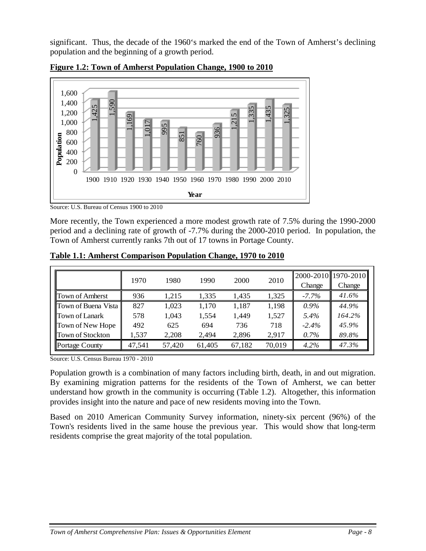significant. Thus, the decade of the 1960's marked the end of the Town of Amherst's declining population and the beginning of a growth period.



**Figure 1.2: Town of Amherst Population Change, 1900 to 2010**

Source: U.S. Bureau of Census 1900 to 2010

More recently, the Town experienced a more modest growth rate of 7.5% during the 1990-2000 period and a declining rate of growth of -7.7% during the 2000-2010 period. In population, the Town of Amherst currently ranks 7th out of 17 towns in Portage County.

|                         | 1970   | 1980   | 1990   | 2000   | 2010   | Change   | 2000-2010 1970-2010<br>Change |
|-------------------------|--------|--------|--------|--------|--------|----------|-------------------------------|
| <b>Town of Amberst</b>  | 936    | 1.215  | 1.335  | 1.435  | 1,325  | $-7.7\%$ | 41.6%                         |
| Town of Buena Vista     | 827    | 1,023  | 1,170  | 1,187  | 1,198  | $0.9\%$  | 44.9%                         |
| <b>Town of Lanark</b>   | 578    | 1.043  | 1,554  | 1,449  | 1,527  | 5.4%     | 164.2%                        |
| Town of New Hope        | 492    | 625    | 694    | 736    | 718    | $-2.4\%$ | 45.9%                         |
| <b>Town of Stockton</b> | 1,537  | 2,208  | 2.494  | 2,896  | 2.917  | 0.7%     | 89.8%                         |
| Portage County          | 47.541 | 57,420 | 61,405 | 67,182 | 70,019 | 4.2%     | 47.3%                         |

**Table 1.1: Amherst Comparison Population Change, 1970 to 2010**

Source: U.S. Census Bureau 1970 - 2010

Population growth is a combination of many factors including birth, death, in and out migration. By examining migration patterns for the residents of the Town of Amherst, we can better understand how growth in the community is occurring (Table 1.2). Altogether, this information provides insight into the nature and pace of new residents moving into the Town.

Based on 2010 American Community Survey information, ninety-six percent (96%) of the Town's residents lived in the same house the previous year. This would show that long-term residents comprise the great majority of the total population.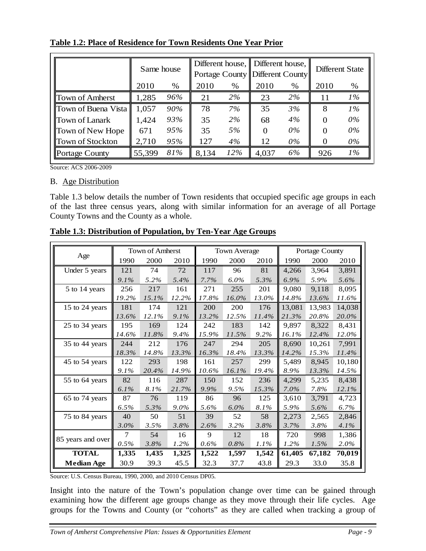|                       | Same house |      |       |       | Different house, Different house,<br>Portage County Different County |       | Different State |       |  |
|-----------------------|------------|------|-------|-------|----------------------------------------------------------------------|-------|-----------------|-------|--|
|                       | 2010       | $\%$ | 2010  | $\%$  | 2010                                                                 | %     | 2010            | %     |  |
| Town of Amberst       | 1,285      | 96%  | 21    | $2\%$ | 23                                                                   | $2\%$ | 11              | $1\%$ |  |
| Town of Buena Vista   | 1,057      | 90%  | 78    | 7%    | 35                                                                   | 3%    | 8               | $1\%$ |  |
| Town of Lanark        | 1,424      | 93%  | 35    | 2%    | 68                                                                   | 4%    | $\Omega$        | $0\%$ |  |
| Town of New Hope      | 671        | 95%  | 35    | 5%    | $\Omega$                                                             | $0\%$ |                 | $0\%$ |  |
| Town of Stockton      | 2,710      | 95%  | 127   | 4%    | 12                                                                   | $0\%$ |                 | 0%    |  |
| <b>Portage County</b> | 55,399     | 81%  | 8,134 | 12%   | 4,037                                                                | 6%    | 926             | $1\%$ |  |

**Table 1.2: Place of Residence for Town Residents One Year Prior**

Source: ACS 2006-2009

#### B. Age Distribution

Table 1.3 below details the number of Town residents that occupied specific age groups in each of the last three census years, along with similar information for an average of all Portage County Towns and the County as a whole.

|                   |         | <b>Town of Amherst</b> |         |         | <b>Town Average</b> |       |         | Portage County |        |
|-------------------|---------|------------------------|---------|---------|---------------------|-------|---------|----------------|--------|
| Age               | 1990    | 2000                   | 2010    | 1990    | 2000                | 2010  | 1990    | 2000           | 2010   |
| Under 5 years     | 121     | 74                     | 72      | 117     | 96                  | 81    | 4,266   | 3,964          | 3,891  |
|                   | $9.1\%$ | 5.2%                   | 5.4%    | $7.7\%$ | $6.0\%$             | 5.3%  | $6.9\%$ | 5.9%           | 5.6%   |
| 5 to 14 years     | 256     | 217                    | 161     | 271     | 255                 | 201   | 9,080   | 9,118          | 8.095  |
|                   | 19.2%   | $15.1\%$               | 12.2%   | 17.8%   | 16.0%               | 13.0% | 14.8%   | 13.6%          | 11.6%  |
| 15 to 24 years    | 181     | 174                    | 121     | 200     | 200                 | 176   | 13,081  | 13,983         | 14,038 |
|                   | 13.6%   | 12.1%                  | $9.1\%$ | 13.2%   | 12.5%               | 11.4% | 21.3%   | 20.8%          | 20.0%  |
| 25 to 34 years    | 195     | 169                    | 124     | 242     | 183                 | 142   | 9,897   | 8,322          | 8,431  |
|                   | 14.6%   | 11.8%                  | 9.4%    | 15.9%   | 11.5%               | 9.2%  | 16.1%   | 12.4%          | 12.0%  |
| 35 to 44 years    | 244     | 212                    | 176     | 247     | 294                 | 205   | 8.690   | 10,261         | 7.991  |
|                   | 18.3%   | 14.8%                  | 13.3%   | 16.3%   | 18.4%               | 13.3% | 14.2%   | 15.3%          | 11.4%  |
| 45 to 54 years    | 122     | 293                    | 198     | 161     | 257                 | 299   | 5,489   | 8,945          | 10,180 |
|                   | $9.1\%$ | 20.4%                  | 14.9%   | 10.6%   | $16.1\%$            | 19.4% | 8.9%    | 13.3%          | 14.5%  |
| 55 to 64 years    | 82      | 116                    | 287     | 150     | 152                 | 236   | 4.299   | 5,235          | 8.438  |
|                   | $6.1\%$ | 8.1%                   | 21.7%   | 9.9%    | 9.5%                | 15.3% | $7.0\%$ | 7.8%           | 12.1%  |
| 65 to 74 years    | 87      | 76                     | 119     | 86      | 96                  | 125   | 3,610   | 3,791          | 4,723  |
|                   | 6.5%    | 5.3%                   | $9.0\%$ | 5.6%    | $6.0\%$             | 8.1%  | 5.9%    | 5.6%           | 6.7%   |
| 75 to 84 years    | 40      | 50                     | 51      | 39      | 52                  | 58    | 2,273   | 2,565          | 2,846  |
|                   | $3.0\%$ | 3.5%                   | 3.8%    | 2.6%    | 3.2%                | 3.8%  | 3.7%    | 3.8%           | 4.1%   |
|                   | 7       | 54                     | 16      | 9       | 12                  | 18    | 720     | 998            | 1.386  |
| 85 years and over | 0.5%    | 3.8%                   | 1.2%    | 0.6%    | 0.8%                | 1.1%  | $1.2\%$ | 1.5%           | 2.0%   |
| <b>TOTAL</b>      | 1,335   | 1,435                  | 1,325   | 1,522   | 1,597               | 1,542 | 61,405  | 67,182         | 70,019 |
| <b>Median Age</b> | 30.9    | 39.3                   | 45.5    | 32.3    | 37.7                | 43.8  | 29.3    | 33.0           | 35.8   |

**Table 1.3: Distribution of Population, by Ten-Year Age Groups**

Source: U.S. Census Bureau, 1990, 2000, and 2010 Census DP05.

Insight into the nature of the Town's population change over time can be gained through examining how the different age groups change as they move through their life cycles. Age groups for the Towns and County (or "cohorts" as they are called when tracking a group of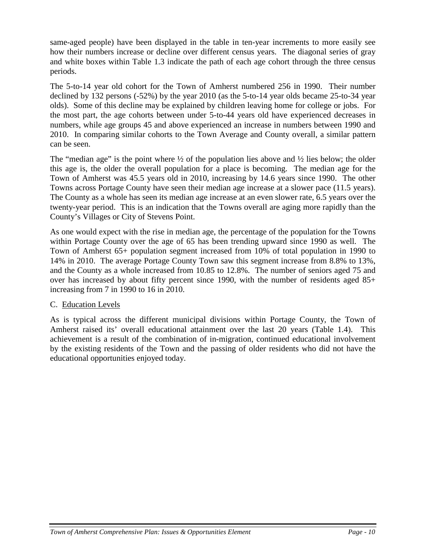same-aged people) have been displayed in the table in ten-year increments to more easily see how their numbers increase or decline over different census years. The diagonal series of gray and white boxes within Table 1.3 indicate the path of each age cohort through the three census periods.

The 5-to-14 year old cohort for the Town of Amherst numbered 256 in 1990. Their number declined by 132 persons (-52%) by the year 2010 (as the 5-to-14 year olds became 25-to-34 year olds). Some of this decline may be explained by children leaving home for college or jobs. For the most part, the age cohorts between under 5-to-44 years old have experienced decreases in numbers, while age groups 45 and above experienced an increase in numbers between 1990 and 2010. In comparing similar cohorts to the Town Average and County overall, a similar pattern can be seen.

The "median age" is the point where  $\frac{1}{2}$  of the population lies above and  $\frac{1}{2}$  lies below; the older this age is, the older the overall population for a place is becoming. The median age for the Town of Amherst was 45.5 years old in 2010, increasing by 14.6 years since 1990. The other Towns across Portage County have seen their median age increase at a slower pace (11.5 years). The County as a whole has seen its median age increase at an even slower rate, 6.5 years over the twenty-year period. This is an indication that the Towns overall are aging more rapidly than the County's Villages or City of Stevens Point.

As one would expect with the rise in median age, the percentage of the population for the Towns within Portage County over the age of 65 has been trending upward since 1990 as well. The Town of Amherst 65+ population segment increased from 10% of total population in 1990 to 14% in 2010. The average Portage County Town saw this segment increase from 8.8% to 13%, and the County as a whole increased from 10.85 to 12.8%. The number of seniors aged 75 and over has increased by about fifty percent since 1990, with the number of residents aged 85+ increasing from 7 in 1990 to 16 in 2010.

## C. Education Levels

As is typical across the different municipal divisions within Portage County, the Town of Amherst raised its' overall educational attainment over the last 20 years (Table 1.4). This achievement is a result of the combination of in-migration, continued educational involvement by the existing residents of the Town and the passing of older residents who did not have the educational opportunities enjoyed today.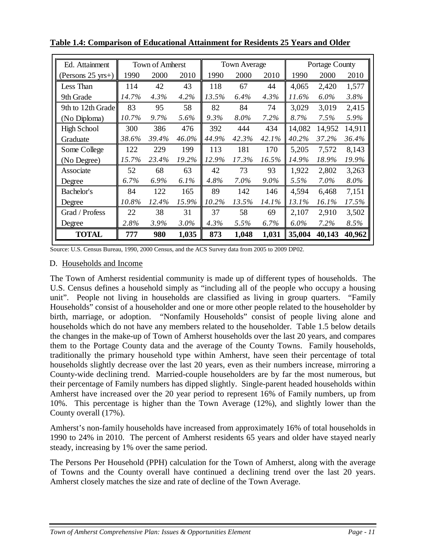| Ed. Attainment      |       | <b>Town of Amherst</b> |         |       | <b>Town Average</b> |         |         | Portage County |        |
|---------------------|-------|------------------------|---------|-------|---------------------|---------|---------|----------------|--------|
| (Persons $25$ yrs+) | 1990  | 2000                   | 2010    | 1990  | 2000                | 2010    | 1990    | 2000           | 2010   |
| Less Than           | 114   | 42                     | 43      | 118   | 67                  | 44      | 4,065   | 2,420          | 1,577  |
| 9th Grade           | 14.7% | 4.3%                   | 4.2%    | 13.5% | 6.4%                | 4.3%    | 11.6%   | $6.0\%$        | 3.8%   |
| 9th to 12th Grade   | 83    | 95                     | 58      | 82    | 84                  | 74      | 3,029   | 3,019          | 2,415  |
| (No Diploma)        | 10.7% | 9.7%                   | 5.6%    | 9.3%  | 8.0%                | 7.2%    | 8.7%    | 7.5%           | 5.9%   |
| <b>High School</b>  | 300   | 386                    | 476     | 392   | 444                 | 434     | 14,082  | 14,952         | 14,911 |
| Graduate            | 38.6% | 39.4%                  | 46.0%   | 44.9% | 42.3%               | 42.1%   | 40.2%   | 37.2%          | 36.4%  |
| Some College        | 122   | 229                    | 199     | 113   | 181                 | 170     | 5,205   | 7,572          | 8,143  |
| (No Degree)         | 15.7% | 23.4%                  | 19.2%   | 12.9% | 17.3%               | 16.5%   | 14.9%   | 18.9%          | 19.9%  |
| Associate           | 52    | 68                     | 63      | 42    | 73                  | 93      | 1,922   | 2,802          | 3,263  |
| Degree              | 6.7%  | 6.9%                   | $6.1\%$ | 4.8%  | $7.0\%$             | $9.0\%$ | 5.5%    | $7.0\%$        | 8.0%   |
| Bachelor's          | 84    | 122                    | 165     | 89    | 142                 | 146     | 4,594   | 6,468          | 7,151  |
| Degree              | 10.8% | 12.4%                  | 15.9%   | 10.2% | 13.5%               | 14.1%   | 13.1%   | 16.1%          | 17.5%  |
| Grad / Profess      | 22    | 38                     | 31      | 37    | 58                  | 69      | 2,107   | 2,910          | 3,502  |
| Degree              | 2.8%  | 3.9%                   | $3.0\%$ | 4.3%  | 5.5%                | 6.7%    | $6.0\%$ | 7.2%           | 8.5%   |
| <b>TOTAL</b>        | 777   | 980                    | 1,035   | 873   | 1,048               | 1,031   | 35,004  | 40,143         | 40,962 |

**Table 1.4: Comparison of Educational Attainment for Residents 25 Years and Older**

Source: U.S. Census Bureau, 1990, 2000 Census, and the ACS Survey data from 2005 to 2009 DP02.

## D. Households and Income

The Town of Amherst residential community is made up of different types of households. The U.S. Census defines a household simply as "including all of the people who occupy a housing unit". People not living in households are classified as living in group quarters. "Family Households" consist of a householder and one or more other people related to the householder by birth, marriage, or adoption. "Nonfamily Households" consist of people living alone and households which do not have any members related to the householder. Table 1.5 below details the changes in the make-up of Town of Amherst households over the last 20 years, and compares them to the Portage County data and the average of the County Towns. Family households, traditionally the primary household type within Amherst, have seen their percentage of total households slightly decrease over the last 20 years, even as their numbers increase, mirroring a County-wide declining trend. Married-couple householders are by far the most numerous, but their percentage of Family numbers has dipped slightly. Single-parent headed households within Amherst have increased over the 20 year period to represent 16% of Family numbers, up from 10%. This percentage is higher than the Town Average (12%), and slightly lower than the County overall (17%).

Amherst's non-family households have increased from approximately 16% of total households in 1990 to 24% in 2010. The percent of Amherst residents 65 years and older have stayed nearly steady, increasing by 1% over the same period.

The Persons Per Household (PPH) calculation for the Town of Amherst, along with the average of Towns and the County overall have continued a declining trend over the last 20 years. Amherst closely matches the size and rate of decline of the Town Average.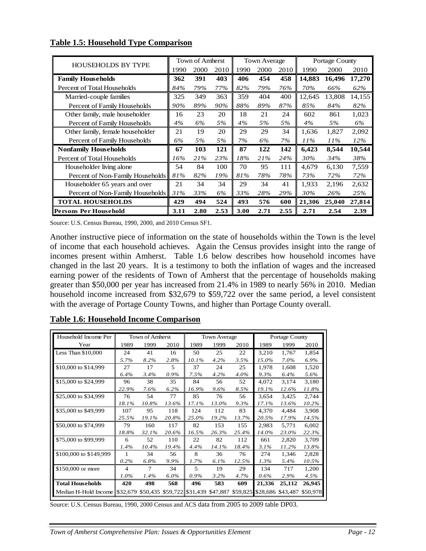|                                  |      | Town of Amherst |      |      |      | <b>Town Average</b> |        |        | Portage County |
|----------------------------------|------|-----------------|------|------|------|---------------------|--------|--------|----------------|
| <b>HOUSEHOLDS BY TYPE</b>        | 1990 | 2000            | 2010 | 1990 | 2000 | 2010                | 1990   | 2000   | 2010           |
| <b>Family Households</b>         | 362  | 391             | 403  | 406  | 454  | 458                 | 14,883 | 16,496 | 17,270         |
| Percent of Total Households      | 84%  | 79%             | 77%  | 82%  | 79%  | 76%                 | 70%    | 66%    | 62%            |
| Married-couple families          | 325  | 349             | 363  | 359  | 404  | 400                 | 12,645 | 13,808 | 14,155         |
| Percent of Family Households     | 90%  | 89%             | 90%  | 88%  | 89%  | 87%                 | 85%    | 84%    | 82%            |
| Other family, male householder   | 16   | 23              | 20   | 18   | 21   | 24                  | 602    | 861    | 1,023          |
| Percent of Family Households     | 4%   | 6%              | 5%   | 4%   | 5%   | 5%                  | 4%     | 5%     | 6%             |
| Other family, female householder | 21   | 19              | 20   | 29   | 29   | 34                  | 1,636  | 1,827  | 2,092          |
| Percent of Family Households     | 6%   | 5%              | 5%   | 7%   | 6%   | 7%                  | 11%    | $11\%$ | $12\%$         |
| <b>Nonfamily Households</b>      | 67   | 103             | 121  | 87   | 122  | 142                 | 6,423  | 8,544  | 10,544         |
| Percent of Total Households      | 16%  | 21%             | 23%  | 18%  | 21%  | 24%                 | 30%    | 34%    | 38%            |
| Householder living alone         | 54   | 84              | 100  | 70   | 95   | 111                 | 4.679  | 6,130  | 7,559          |
| Percent of Non-Family Households | 81%  | 82%             | 19%  | 81%  | 78%  | 78%                 | 73%    | 72%    | 72%            |
| Householder 65 years and over    | 21   | 34              | 34   | 29   | 34   | 41                  | 1.933  | 2,196  | 2,632          |
| Percent of Non-Family Households | 31%  | 33%             | 6%   | 33%  | 28%  | 29%                 | 30%    | 26%    | 25%            |
| <b>TOTAL HOUSEHOLDS</b>          | 429  | 494             | 524  | 493  | 576  | 600                 | 21,306 | 25,040 | 27,814         |
| Persons Per Household            | 3.11 | 2.80            | 2.53 | 3.00 | 2.71 | 2.55                | 2.71   | 2.54   | 2.39           |

### **Table 1.5: Household Type Comparison**

Source: U.S. Census Bureau, 1990, 2000, and 2010 Census SF1.

Another instructive piece of information on the state of households within the Town is the level of income that each household achieves. Again the Census provides insight into the range of incomes present within Amherst. Table 1.6 below describes how household incomes have changed in the last 20 years. It is a testimony to both the inflation of wages and the increased earning power of the residents of Town of Amherst that the percentage of households making greater than \$50,000 per year has increased from 21.4% in 1989 to nearly 56% in 2010. Median household income increased from \$32,679 to \$59,722 over the same period, a level consistent with the average of Portage County Towns, and higher than Portage County overall.

| Household Income Per                                              |                          | Town of Amherst |         |                          | <b>Town Average</b> |       |                            | Portage County |          |
|-------------------------------------------------------------------|--------------------------|-----------------|---------|--------------------------|---------------------|-------|----------------------------|----------------|----------|
| Year                                                              | 1989                     | 1999            | 2010    | 1989                     | 1999                | 2010  | 1989                       | 1999           | 2010     |
| Less Than \$10,000                                                | 24                       | 41              | 16      | 50                       | 25                  | 22    | 3,210                      | 1,767          | 1,854    |
|                                                                   | 5.7%                     | 8.2%            | 2.8%    | $10.1\%$                 | 4.2%                | 3.5%  | 15.0%                      | 7.0%           | 6.9%     |
| \$10,000 to \$14,999                                              | 27                       | 17              | 5       | 37                       | 24                  | 25    | 1,978                      | 1,608          | 1,520    |
|                                                                   | 6.4%                     | 3.4%            | 0.9%    | 7.5%                     | 4.2%                | 4.0%  | 9.3%                       | 6.4%           | 5.6%     |
| \$15,000 to \$24,999                                              | 96                       | 38              | 35      | 84                       | 56                  | 52    | 4,072                      | 3,174          | 3,180    |
|                                                                   | 22.9%                    | 7.6%            | 6.2%    | 16.9%                    | 9.6%                | 8.5%  | 19.1%                      | 12.6%          | 11.8%    |
| \$25,000 to \$34,999                                              | 76                       | 54              | 77      | 85                       | 76                  | 56    | 3.654                      | 3.425          | 2.744    |
|                                                                   | 18.1%                    | 10.8%           | 13.6%   | 17.1%                    | 13.0%               | 9.3%  | 17.1%                      | 13.6%          | 10.2%    |
| \$35,000 to \$49,999                                              | 107                      | 95              | 118     | 124                      | 112                 | 83    | 4,370                      | 4,484          | 3,908    |
|                                                                   | 25.5%                    | 19.1%           | 20.8%   | 25.0%                    | 19.2%               | 13.7% | 20.5%                      | 17.9%          | 14.5%    |
| \$50,000 to \$74,999                                              | 79                       | 160             | 117     | 82                       | 153                 | 155   | 2,983                      | 5,771          | 6,002    |
|                                                                   | 18.8%                    | 32.1%           | 20.6%   | 16.5%                    | 26.3%               | 25.4% | 14.0%                      | 23.0%          | 22.3%    |
| \$75,000 to \$99,999                                              | 6                        | 52              | 110     | 22                       | 82                  | 112   | 661                        | 2,820          | 3,709    |
|                                                                   | 1.4%                     | 10.4%           | 19.4%   | 4.4%                     | 14.1%               | 18.4% | 3.1%                       | 11.2%          | 13.8%    |
| \$100,000 to \$149,999                                            |                          | 34              | 56      | 8                        | 36                  | 76    | 274                        | 1.346          | 2,828    |
|                                                                   | 0.2%                     | 6.8%            | 9.9%    | 1.7%                     | 6.1%                | 12.5% | 1.3%                       | 5.4%           | 10.5%    |
| \$150,000 or more                                                 | $\overline{\mathcal{L}}$ | 7               | 34      | $\overline{\phantom{0}}$ | 19                  | 29    | 134                        | 717            | 1,200    |
|                                                                   | $1.0\%$                  | 1.4%            | $6.0\%$ | $0.9\%$                  | 3.2%                | 4.7%  | 0.6%                       | 2.9%           | 4.5%     |
| <b>Total Households</b>                                           | 420                      | 498             | 568     | 496                      | 583                 | 609   | 21,336                     | 25,112         | 26,945   |
| Median H-Hold Income \$32,679 \$50,435 \$59,722 \$31,439 \$47,887 |                          |                 |         |                          |                     |       | \$59,825 \$28,686 \$43,487 |                | \$50,978 |

## **Table 1.6: Household Income Comparison**

Source: U.S. Census Bureau, 1990, 2000 Census and ACS data from 2005 to 2009 table DP03.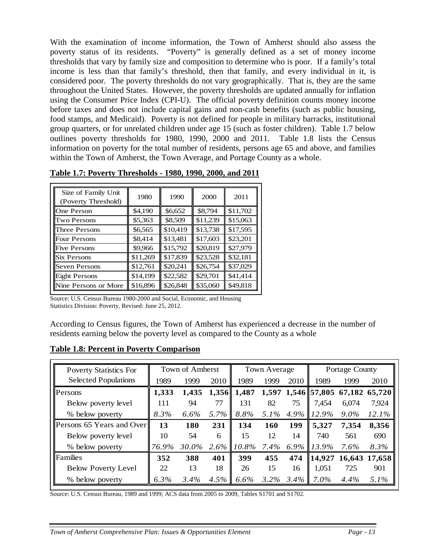With the examination of income information, the Town of Amherst should also assess the poverty status of its residents. "Poverty" is generally defined as a set of money income thresholds that vary by family size and composition to determine who is poor. If a family's total income is less than that family's threshold, then that family, and every individual in it, is considered poor. The poverty thresholds do not vary geographically. That is, they are the same throughout the United States. However, the poverty thresholds are updated annually for inflation using the Consumer Price Index (CPI-U). The official poverty definition counts money income before taxes and does not include capital gains and non-cash benefits (such as public housing, food stamps, and Medicaid). Poverty is not defined for people in military barracks, institutional group quarters, or for unrelated children under age 15 (such as foster children). Table 1.7 below outlines poverty thresholds for 1980, 1990, 2000 and 2011. Table 1.8 lists the Census information on poverty for the total number of residents, persons age 65 and above, and families within the Town of Amherst, the Town Average, and Portage County as a whole.

| Size of Family Unit<br>(Poverty Threshold) | 1980     | 1990     | 2000     | 2011     |
|--------------------------------------------|----------|----------|----------|----------|
| One Person                                 | \$4,190  | \$6,652  | \$8,794  | \$11,702 |
| <b>Two Persons</b>                         | \$5,363  | \$8,509  | \$11,239 | \$15,063 |
| Three Persons                              | \$6,565  | \$10,419 | \$13,738 | \$17,595 |
| <b>Four Persons</b>                        | \$8,414  | \$13,481 | \$17,603 | \$23,201 |
| <b>Five Persons</b>                        | \$9,966  | \$15,792 | \$20,819 | \$27,979 |
| <b>Six Persons</b>                         | \$11,269 | \$17,839 | \$23,528 | \$32,181 |
| <b>Seven Persons</b>                       | \$12,761 | \$20,241 | \$26,754 | \$37,029 |
| <b>Eight Persons</b>                       | \$14,199 | \$22,582 | \$29,701 | \$41,414 |
| Nine Persons or More                       | \$16,896 | \$26,848 | \$35,060 | \$49,818 |

**Table 1.7: Poverty Thresholds - 1980, 1990, 2000, and 2011**

Source: U.S. Census Bureau 1980-2000 and Social, Economic, and Housing Statistics Division: Poverty, Revised: June 25, 2012.

According to Census figures, the Town of Amherst has experienced a decrease in the number of residents earning below the poverty level as compared to the County as a whole

#### **Table 1.8: Percent in Poverty Comparison**

| <b>Poverty Statistics For</b> | Town of Amherst |         |       |       | Town Average |         | <b>Portage County</b> |         |                                  |  |
|-------------------------------|-----------------|---------|-------|-------|--------------|---------|-----------------------|---------|----------------------------------|--|
| <b>Selected Populations</b>   | 1989            | 1999    | 2010  | 1989  | 1999         | 2010    | 1989                  | 1999    | 2010                             |  |
| Persons                       | 1,333           | 1,435   | 1,356 | 1,487 |              |         |                       |         | 1,597 1,546 57,805 67,182 65,720 |  |
| Below poverty level           | 111             | 94      | 77    | 131   | 82           | 75      | 7,454                 | 6,074   | 7,924                            |  |
| % below poverty               | 8.3%            | $6.6\%$ | 5.7%  | 8.8%  | 5.1%         |         | $4.9\%$   12.9%       | $9.0\%$ | $12.1\%$                         |  |
| Persons 65 Years and Over     | 13              | 180     | 231   | 134   | <b>160</b>   | 199     | 5,327                 | 7,354   | 8,356                            |  |
| Below poverty level           | 10              | 54      | 6     | 15    | 12           | 14      | 740                   | 561     | 690                              |  |
| % below poverty               | 76.9%           | 30.0%   | 2.6%  | 10.8% | $7.4\%$      |         | $6.9\%$ 13.9%         | 7.6%    | 8.3%                             |  |
| <b>Families</b>               | 352             | 388     | 401   | 399   | 455          | 474     | $\vert$ 14,927        |         | 16,643 17,658                    |  |
| <b>Below Poverty Level</b>    | 22              | 13      | 18    | 26    | 15           | 16      | 1,051                 | 725     | 901                              |  |
| % below poverty               | 6.3%            | 3.4%    | 4.5%  | 6.6%  | $3.2\%$      | $3.4\%$ | $7.0\%$               | $4.4\%$ | 5.1%                             |  |

Source: U.S. Census Bureau, 1989 and 1999; ACS data from 2005 to 2009, Tables S1701 and S1702.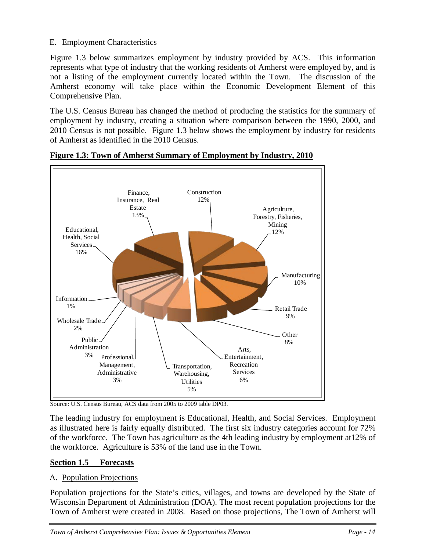## E. Employment Characteristics

Figure 1.3 below summarizes employment by industry provided by ACS. This information represents what type of industry that the working residents of Amherst were employed by, and is not a listing of the employment currently located within the Town. The discussion of the Amherst economy will take place within the Economic Development Element of this Comprehensive Plan.

The U.S. Census Bureau has changed the method of producing the statistics for the summary of employment by industry, creating a situation where comparison between the 1990, 2000, and 2010 Census is not possible. Figure 1.3 below shows the employment by industry for residents of Amherst as identified in the 2010 Census.



**Figure 1.3: Town of Amherst Summary of Employment by Industry, 2010**

Source: U.S. Census Bureau, ACS data from 2005 to 2009 table DP03.

The leading industry for employment is Educational, Health, and Social Services. Employment as illustrated here is fairly equally distributed. The first six industry categories account for 72% of the workforce. The Town has agriculture as the 4th leading industry by employment at12% of the workforce. Agriculture is 53% of the land use in the Town.

## **Section 1.5 Forecasts**

## A. Population Projections

Population projections for the State's cities, villages, and towns are developed by the State of Wisconsin Department of Administration (DOA). The most recent population projections for the Town of Amherst were created in 2008. Based on those projections, The Town of Amherst will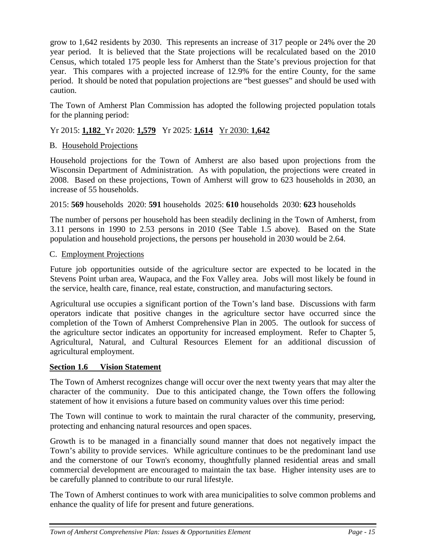grow to 1,642 residents by 2030. This represents an increase of 317 people or 24% over the 20 year period. It is believed that the State projections will be recalculated based on the 2010 Census, which totaled 175 people less for Amherst than the State's previous projection for that year. This compares with a projected increase of 12.9% for the entire County, for the same period. It should be noted that population projections are "best guesses" and should be used with caution.

The Town of Amherst Plan Commission has adopted the following projected population totals for the planning period:

# Yr 2015: **1,182** Yr 2020: **1,579** Yr 2025: **1,614** Yr 2030: **1,642**

## B. Household Projections

Household projections for the Town of Amherst are also based upon projections from the Wisconsin Department of Administration. As with population, the projections were created in 2008. Based on these projections, Town of Amherst will grow to 623 households in 2030, an increase of 55 households.

2015: **569** households 2020: **591** households 2025: **610** households 2030: **623** households

The number of persons per household has been steadily declining in the Town of Amherst, from 3.11 persons in 1990 to 2.53 persons in 2010 (See Table 1.5 above). Based on the State population and household projections, the persons per household in 2030 would be 2.64.

## C. Employment Projections

Future job opportunities outside of the agriculture sector are expected to be located in the Stevens Point urban area, Waupaca, and the Fox Valley area. Jobs will most likely be found in the service, health care, finance, real estate, construction, and manufacturing sectors.

Agricultural use occupies a significant portion of the Town's land base. Discussions with farm operators indicate that positive changes in the agriculture sector have occurred since the completion of the Town of Amherst Comprehensive Plan in 2005. The outlook for success of the agriculture sector indicates an opportunity for increased employment. Refer to Chapter 5, Agricultural, Natural, and Cultural Resources Element for an additional discussion of agricultural employment.

## **Section 1.6 Vision Statement**

The Town of Amherst recognizes change will occur over the next twenty years that may alter the character of the community. Due to this anticipated change, the Town offers the following statement of how it envisions a future based on community values over this time period:

The Town will continue to work to maintain the rural character of the community, preserving, protecting and enhancing natural resources and open spaces.

Growth is to be managed in a financially sound manner that does not negatively impact the Town's ability to provide services. While agriculture continues to be the predominant land use and the cornerstone of our Town's economy, thoughtfully planned residential areas and small commercial development are encouraged to maintain the tax base. Higher intensity uses are to be carefully planned to contribute to our rural lifestyle.

The Town of Amherst continues to work with area municipalities to solve common problems and enhance the quality of life for present and future generations.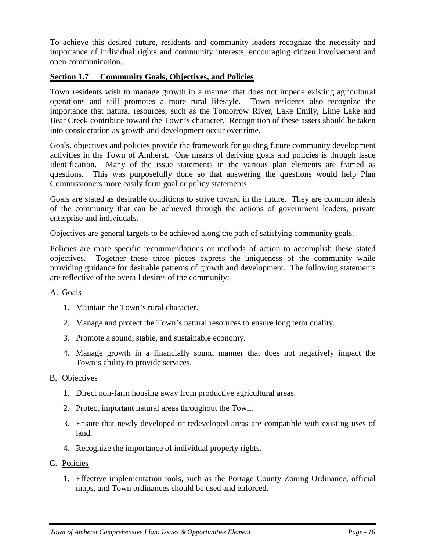To achieve this desired future, residents and community leaders recognize the necessity and importance of individual rights and community interests, encouraging citizen involvement and open communication.

## **Section 1.7 Community Goals, Objectives, and Policies**

Town residents wish to manage growth in a manner that does not impede existing agricultural operations and still promotes a more rural lifestyle. Town residents also recognize the importance that natural resources, such as the Tomorrow River, Lake Emily, Lime Lake and Bear Creek contribute toward the Town's character. Recognition of these assets should be taken into consideration as growth and development occur over time.

Goals, objectives and policies provide the framework for guiding future community development activities in the Town of Amherst. One means of deriving goals and policies is through issue identification. Many of the issue statements in the various plan elements are framed as questions. This was purposefully done so that answering the questions would help Plan Commissioners more easily form goal or policy statements.

Goals are stated as desirable conditions to strive toward in the future. They are common ideals of the community that can be achieved through the actions of government leaders, private enterprise and individuals.

Objectives are general targets to be achieved along the path of satisfying community goals.

Policies are more specific recommendations or methods of action to accomplish these stated objectives. Together these three pieces express the uniqueness of the community while providing guidance for desirable patterns of growth and development. The following statements are reflective of the overall desires of the community:

## A. Goals

- 1. Maintain the Town's rural character.
- 2. Manage and protect the Town's natural resources to ensure long term quality.
- 3. Promote a sound, stable, and sustainable economy.
- 4. Manage growth in a financially sound manner that does not negatively impact the Town's ability to provide services.

#### B. Objectives

- 1. Direct non-farm housing away from productive agricultural areas.
- 2. Protect important natural areas throughout the Town.
- 3. Ensure that newly developed or redeveloped areas are compatible with existing uses of land.
- 4. Recognize the importance of individual property rights.
- C. Policies
	- 1. Effective implementation tools, such as the Portage County Zoning Ordinance, official maps, and Town ordinances should be used and enforced.